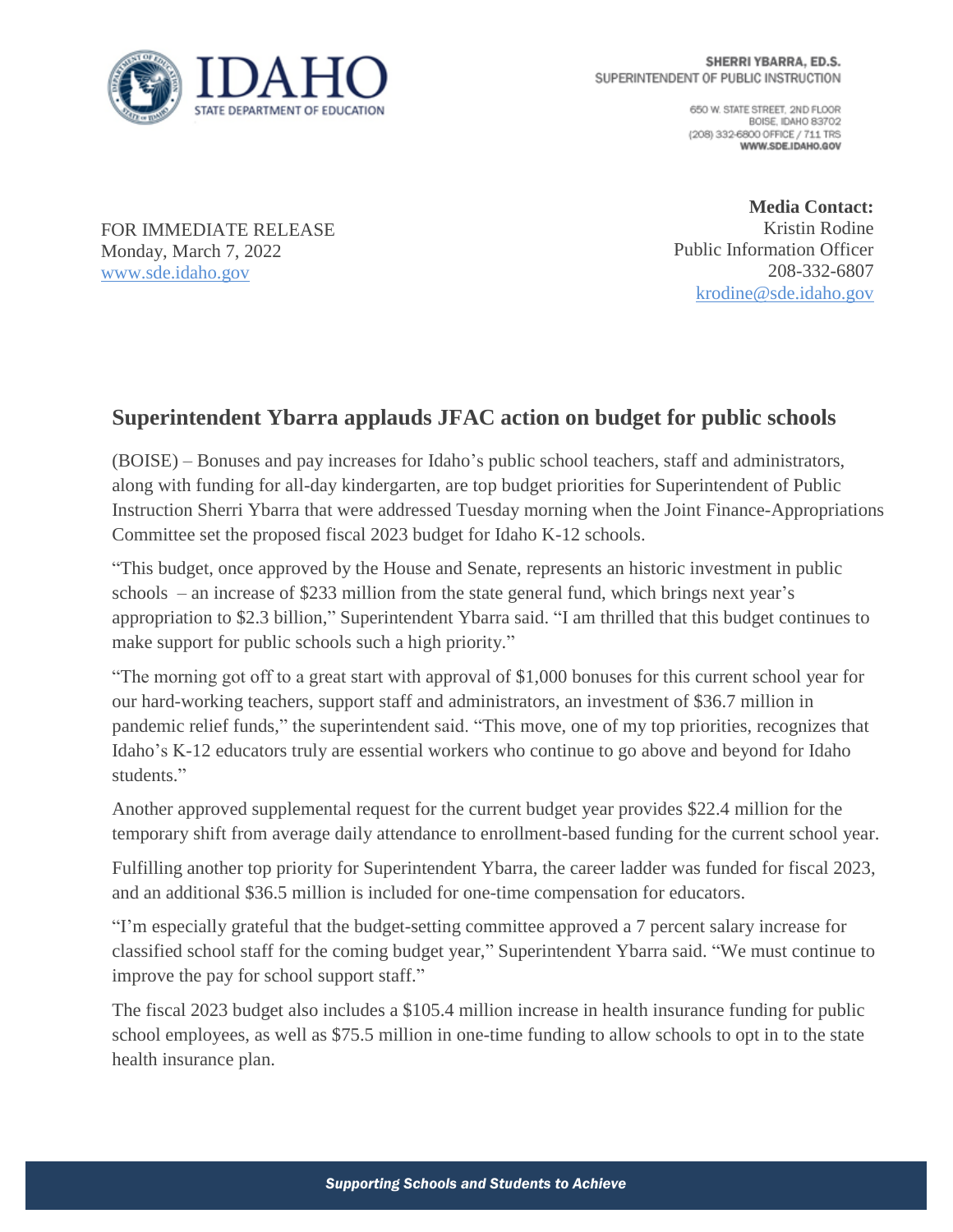

650 W. STATE STREET, 2ND FLOOR BOISE IDAHO 83702 (208) 332-6800 OFFICE / 711 TRS WWW.SDE.IDAHO.GOV

FOR IMMEDIATE RELEASE Monday, March 7, 2022 [www.sde.idaho.gov](http://www.sde.idaho.gov/)

**Media Contact:** Kristin Rodine Public Information Officer 208-332-6807 [krodine@sde.idaho.gov](mailto:krodine@sde.idaho.gov)

## **Superintendent Ybarra applauds JFAC action on budget for public schools**

(BOISE) – Bonuses and pay increases for Idaho's public school teachers, staff and administrators, along with funding for all-day kindergarten, are top budget priorities for Superintendent of Public Instruction Sherri Ybarra that were addressed Tuesday morning when the Joint Finance-Appropriations Committee set the proposed fiscal 2023 budget for Idaho K-12 schools.

"This budget, once approved by the House and Senate, represents an historic investment in public schools – an increase of \$233 million from the state general fund, which brings next year's appropriation to \$2.3 billion," Superintendent Ybarra said. "I am thrilled that this budget continues to make support for public schools such a high priority."

"The morning got off to a great start with approval of \$1,000 bonuses for this current school year for our hard-working teachers, support staff and administrators, an investment of \$36.7 million in pandemic relief funds," the superintendent said. "This move, one of my top priorities, recognizes that Idaho's K-12 educators truly are essential workers who continue to go above and beyond for Idaho students."

Another approved supplemental request for the current budget year provides \$22.4 million for the temporary shift from average daily attendance to enrollment-based funding for the current school year.

Fulfilling another top priority for Superintendent Ybarra, the career ladder was funded for fiscal 2023, and an additional \$36.5 million is included for one-time compensation for educators.

"I'm especially grateful that the budget-setting committee approved a 7 percent salary increase for classified school staff for the coming budget year," Superintendent Ybarra said. "We must continue to improve the pay for school support staff."

The fiscal 2023 budget also includes a \$105.4 million increase in health insurance funding for public school employees, as well as \$75.5 million in one-time funding to allow schools to opt in to the state health insurance plan.